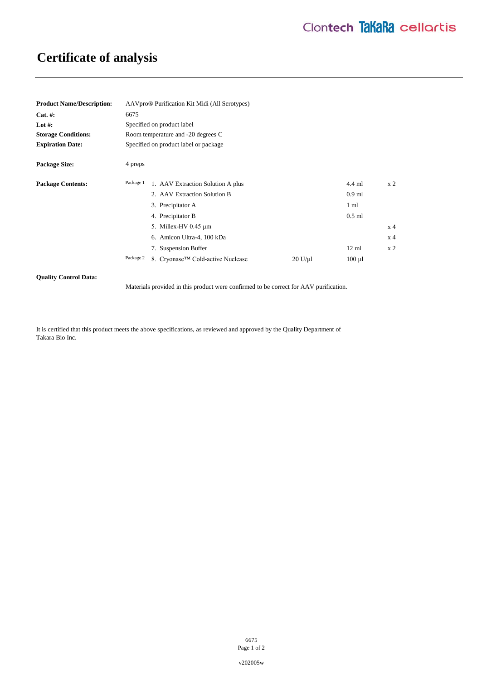# **Certificate of analysis**

| <b>Product Name/Description:</b> | AAVpro <sup>®</sup> Purification Kit Midi (All Serotypes) |                                   |         |                 |                |
|----------------------------------|-----------------------------------------------------------|-----------------------------------|---------|-----------------|----------------|
| $Cat. \#:$                       | 6675                                                      |                                   |         |                 |                |
| Lot #:                           | Specified on product label                                |                                   |         |                 |                |
| <b>Storage Conditions:</b>       | Room temperature and -20 degrees C                        |                                   |         |                 |                |
| <b>Expiration Date:</b>          | Specified on product label or package                     |                                   |         |                 |                |
| <b>Package Size:</b>             | 4 preps                                                   |                                   |         |                 |                |
| <b>Package Contents:</b>         | Package 1                                                 | 1. AAV Extraction Solution A plus |         | $4.4$ ml        | x <sub>2</sub> |
|                                  |                                                           | 2. AAV Extraction Solution B      |         | $0.9$ ml        |                |
|                                  |                                                           | 3. Precipitator A                 |         | $1 \text{ ml}$  |                |
|                                  |                                                           | 4. Precipitator B                 |         | $0.5$ ml        |                |
|                                  |                                                           | 5. Millex-HV 0.45 µm              |         |                 | x <sub>4</sub> |
|                                  |                                                           | 6. Amicon Ultra-4, 100 kDa        |         |                 | x <sub>4</sub> |
|                                  |                                                           | 7. Suspension Buffer              |         | $12 \text{ ml}$ | x <sub>2</sub> |
|                                  | Package 2                                                 | 8. Cryonase™ Cold-active Nuclease | 20 U/u1 | $100 \mu l$     |                |

## **Quality Control Data:**

Materials provided in this product were confirmed to be correct for AAV purification.

It is certified that this product meets the above specifications, as reviewed and approved by the Quality Department of Takara Bio Inc.

> 6675 Page 1 of 2

v202005w